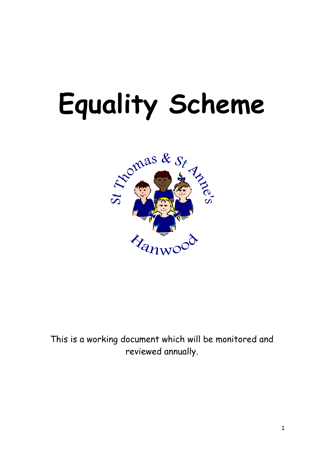# **Equality Scheme**



This is a working document which will be monitored and reviewed annually.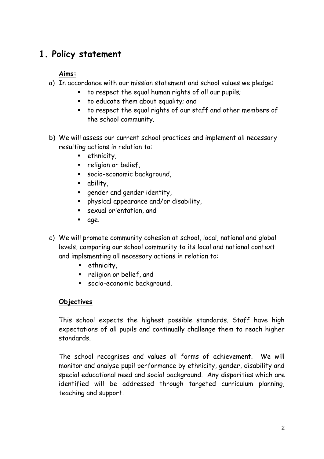## **1. Policy statement**

#### **Aims:**

- a) In accordance with our mission statement and school values we pledge:
	- to respect the equal human rights of all our pupils;
	- **to educate them about equality; and**
	- to respect the equal rights of our staff and other members of the school community.
- b) We will assess our current school practices and implement all necessary resulting actions in relation to:
	- **E** ethnicity,
	- **Paragoion** or belief,
	- socio-economic background,
	- ability,
	- **qender and gender identity,**
	- physical appearance and/or disability,
	- sexual orientation, and
	- n age.
- c) We will promote community cohesion at school, local, national and global levels, comparing our school community to its local and national context and implementing all necessary actions in relation to:
	- **E** ethnicity,
	- **•** religion or belief, and
	- socio-economic background.

#### **Objectives**

This school expects the highest possible standards. Staff have high expectations of all pupils and continually challenge them to reach higher standards.

The school recognises and values all forms of achievement. We will monitor and analyse pupil performance by ethnicity, gender, disability and special educational need and social background. Any disparities which are identified will be addressed through targeted curriculum planning, teaching and support.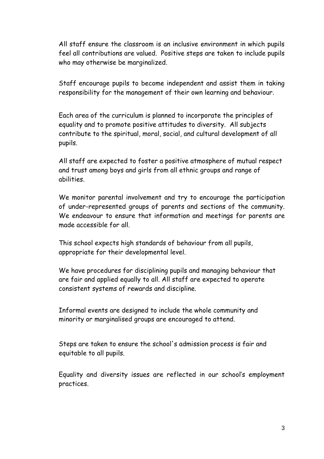All staff ensure the classroom is an inclusive environment in which pupils feel all contributions are valued. Positive steps are taken to include pupils who may otherwise be marginalized.

Staff encourage pupils to become independent and assist them in taking responsibility for the management of their own learning and behaviour.

Each area of the curriculum is planned to incorporate the principles of equality and to promote positive attitudes to diversity. All subjects contribute to the spiritual, moral, social, and cultural development of all pupils.

All staff are expected to foster a positive atmosphere of mutual respect and trust among boys and girls from all ethnic groups and range of abilities.

We monitor parental involvement and try to encourage the participation of under-represented groups of parents and sections of the community. We endeavour to ensure that information and meetings for parents are made accessible for all.

This school expects high standards of behaviour from all pupils, appropriate for their developmental level.

We have procedures for disciplining pupils and managing behaviour that are fair and applied equally to all. All staff are expected to operate consistent systems of rewards and discipline.

Informal events are designed to include the whole community and minority or marginalised groups are encouraged to attend.

Steps are taken to ensure the school's admission process is fair and equitable to all pupils.

Equality and diversity issues are reflected in our school"s employment practices.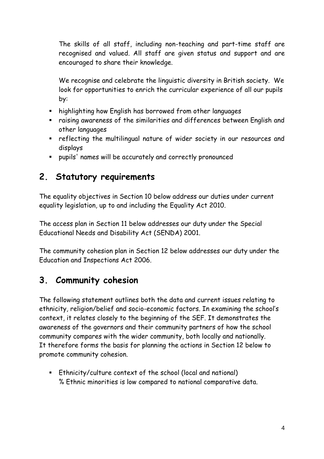The skills of all staff, including non-teaching and part-time staff are recognised and valued. All staff are given status and support and are encouraged to share their knowledge.

We recognise and celebrate the linguistic diversity in British society. We look for opportunities to enrich the curricular experience of all our pupils by:

- highlighting how English has borrowed from other languages
- raising awareness of the similarities and differences between English and other languages
- **•** reflecting the multilingual nature of wider society in our resources and displays
- pupils' names will be accurately and correctly pronounced

#### **2. Statutory requirements**

The equality objectives in Section 10 below address our duties under current equality legislation, up to and including the Equality Act 2010.

The access plan in Section 11 below addresses our duty under the Special Educational Needs and Disability Act (SENDA) 2001.

The community cohesion plan in Section 12 below addresses our duty under the Education and Inspections Act 2006.

## **3. Community cohesion**

The following statement outlines both the data and current issues relating to ethnicity, religion/belief and socio-economic factors. In examining the school"s context, it relates closely to the beginning of the SEF. It demonstrates the awareness of the governors and their community partners of how the school community compares with the wider community, both locally and nationally. It therefore forms the basis for planning the actions in Section 12 below to promote community cohesion.

 Ethnicity/culture context of the school (local and national) % Ethnic minorities is low compared to national comparative data.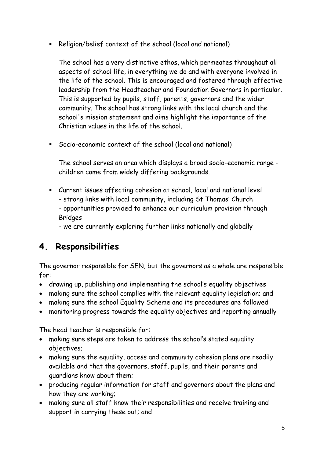Religion/belief context of the school (local and national)

The school has a very distinctive ethos, which permeates throughout all aspects of school life, in everything we do and with everyone involved in the life of the school. This is encouraged and fostered through effective leadership from the Headteacher and Foundation Governors in particular. This is supported by pupils, staff, parents, governors and the wider community. The school has strong links with the local church and the school's mission statement and aims highlight the importance of the Christian values in the life of the school.

Socio-economic context of the school (local and national)

The school serves an area which displays a broad socio-economic range children come from widely differing backgrounds.

- Current issues affecting cohesion at school, local and national level - strong links with local community, including St Thomas" Church
	- opportunities provided to enhance our curriculum provision through Bridges

- we are currently exploring further links nationally and globally

## **4. Responsibilities**

The governor responsible for SEN, but the governors as a whole are responsible for:

- drawing up, publishing and implementing the school"s equality objectives
- making sure the school complies with the relevant equality legislation; and
- making sure the school Equality Scheme and its procedures are followed
- monitoring progress towards the equality objectives and reporting annually

The head teacher is responsible for:

- making sure steps are taken to address the school"s stated equality objectives;
- making sure the equality, access and community cohesion plans are readily available and that the governors, staff, pupils, and their parents and guardians know about them;
- producing regular information for staff and governors about the plans and how they are working;
- making sure all staff know their responsibilities and receive training and support in carrying these out; and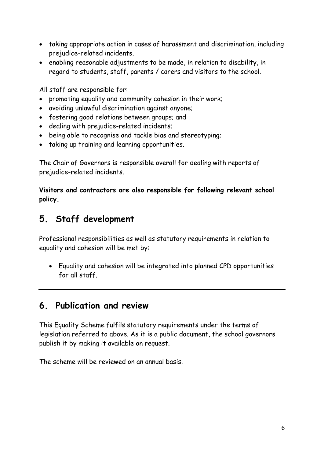- taking appropriate action in cases of harassment and discrimination, including prejudice-related incidents.
- enabling reasonable adjustments to be made, in relation to disability, in regard to students, staff, parents / carers and visitors to the school.

All staff are responsible for:

- promoting equality and community cohesion in their work;
- avoiding unlawful discrimination against anyone;
- fostering good relations between groups; and
- dealing with prejudice-related incidents;
- being able to recognise and tackle bias and stereotyping;
- taking up training and learning opportunities.

The Chair of Governors is responsible overall for dealing with reports of prejudice-related incidents.

**Visitors and contractors are also responsible for following relevant school policy.**

#### **5. Staff development**

Professional responsibilities as well as statutory requirements in relation to equality and cohesion will be met by:

 Equality and cohesion will be integrated into planned CPD opportunities for all staff.

#### **6. Publication and review**

This Equality Scheme fulfils statutory requirements under the terms of legislation referred to above. As it is a public document, the school governors publish it by making it available on request.

The scheme will be reviewed on an annual basis.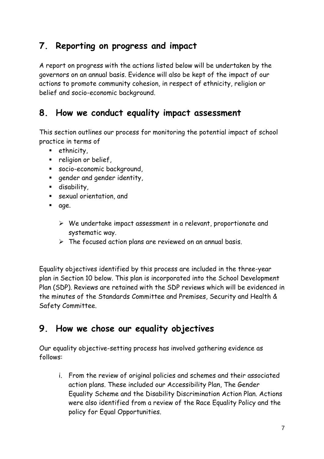## **7. Reporting on progress and impact**

A report on progress with the actions listed below will be undertaken by the governors on an annual basis. Evidence will also be kept of the impact of our actions to promote community cohesion, in respect of ethnicity, religion or belief and socio-economic background.

#### **8. How we conduct equality impact assessment**

This section outlines our process for monitoring the potential impact of school practice in terms of

- **E** ethnicity,
- **Paragoion** or belief,
- socio-economic background,
- **q**ender and gender identity,
- disability,
- sexual orientation, and
- nd age.
	- $\triangleright$  We undertake impact assessment in a relevant, proportionate and systematic way.
	- $\triangleright$  The focused action plans are reviewed on an annual basis.

Equality objectives identified by this process are included in the three-year plan in Section 10 below. This plan is incorporated into the School Development Plan (SDP). Reviews are retained with the SDP reviews which will be evidenced in the minutes of the Standards Committee and Premises, Security and Health & Safety Committee.

#### **9. How we chose our equality objectives**

Our equality objective-setting process has involved gathering evidence as follows:

i. From the review of original policies and schemes and their associated action plans. These included our Accessibility Plan, The Gender Equality Scheme and the Disability Discrimination Action Plan. Actions were also identified from a review of the Race Equality Policy and the policy for Equal Opportunities.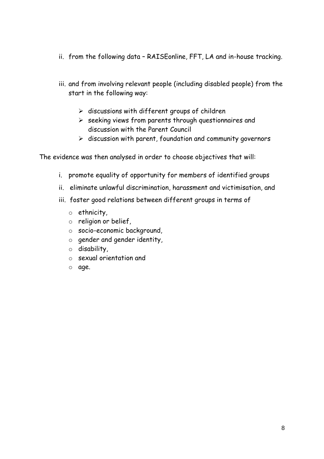- ii. from the following data RAISEonline, FFT, LA and in-house tracking.
- iii. and from involving relevant people (including disabled people) from the start in the following way:
	- $\triangleright$  discussions with different groups of children
	- $\triangleright$  seeking views from parents through questionnaires and discussion with the Parent Council
	- $\triangleright$  discussion with parent, foundation and community governors

The evidence was then analysed in order to choose objectives that will:

- i. promote equality of opportunity for members of identified groups
- ii. eliminate unlawful discrimination, harassment and victimisation, and
- iii. foster good relations between different groups in terms of
	- o ethnicity,
	- o religion or belief,
	- o socio-economic background,
	- o gender and gender identity,
	- o disability,
	- o sexual orientation and
	- o age.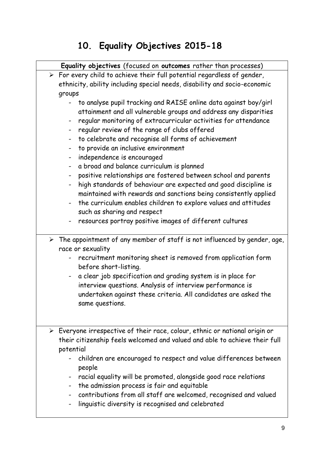## **10. Equality Objectives 2015-18**

|                                                                           | Equality objectives (focused on outcomes rather than processes)                                                                                                                                                                                                                                                                                                                                                                                                                                                                                                                                                                                                                                                                                                                                                                                          |  |  |  |
|---------------------------------------------------------------------------|----------------------------------------------------------------------------------------------------------------------------------------------------------------------------------------------------------------------------------------------------------------------------------------------------------------------------------------------------------------------------------------------------------------------------------------------------------------------------------------------------------------------------------------------------------------------------------------------------------------------------------------------------------------------------------------------------------------------------------------------------------------------------------------------------------------------------------------------------------|--|--|--|
|                                                                           | $\triangleright$ For every child to achieve their full potential regardless of gender,                                                                                                                                                                                                                                                                                                                                                                                                                                                                                                                                                                                                                                                                                                                                                                   |  |  |  |
| ethnicity, ability including special needs, disability and socio-economic |                                                                                                                                                                                                                                                                                                                                                                                                                                                                                                                                                                                                                                                                                                                                                                                                                                                          |  |  |  |
| groups                                                                    |                                                                                                                                                                                                                                                                                                                                                                                                                                                                                                                                                                                                                                                                                                                                                                                                                                                          |  |  |  |
|                                                                           | to analyse pupil tracking and RAISE online data against boy/girl<br>attainment and all vulnerable groups and address any disparities<br>regular monitoring of extracurricular activities for attendance<br>regular review of the range of clubs offered<br>$\blacksquare$<br>to celebrate and recognise all forms of achievement<br>$\blacksquare$<br>to provide an inclusive environment<br>$\qquad \qquad \blacksquare$<br>independence is encouraged<br>$\blacksquare$<br>a broad and balance curriculum is planned<br>positive relationships are fostered between school and parents<br>$\blacksquare$<br>high standards of behaviour are expected and good discipline is<br>$\blacksquare$<br>maintained with rewards and sanctions being consistently applied<br>the curriculum enables children to explore values and attitudes<br>$\blacksquare$ |  |  |  |
|                                                                           | such as sharing and respect                                                                                                                                                                                                                                                                                                                                                                                                                                                                                                                                                                                                                                                                                                                                                                                                                              |  |  |  |
|                                                                           | resources portray positive images of different cultures<br>$\blacksquare$                                                                                                                                                                                                                                                                                                                                                                                                                                                                                                                                                                                                                                                                                                                                                                                |  |  |  |
|                                                                           | $\triangleright$ The appointment of any member of staff is not influenced by gender, age,<br>race or sexuality                                                                                                                                                                                                                                                                                                                                                                                                                                                                                                                                                                                                                                                                                                                                           |  |  |  |
|                                                                           | recruitment monitoring sheet is removed from application form<br>before short-listing.<br>a clear job specification and grading system is in place for<br>-<br>interview questions. Analysis of interview performance is<br>undertaken against these criteria. All candidates are asked the<br>same questions.                                                                                                                                                                                                                                                                                                                                                                                                                                                                                                                                           |  |  |  |
|                                                                           | $\triangleright$ Everyone irrespective of their race, colour, ethnic or national origin or<br>their citizenship feels welcomed and valued and able to achieve their full<br>potential<br>children are encouraged to respect and value differences between<br>people<br>racial equality will be promoted, alongside good race relations<br>$\blacksquare$<br>the admission process is fair and equitable<br>contributions from all staff are welcomed, recognised and valued<br>linguistic diversity is recognised and celebrated                                                                                                                                                                                                                                                                                                                         |  |  |  |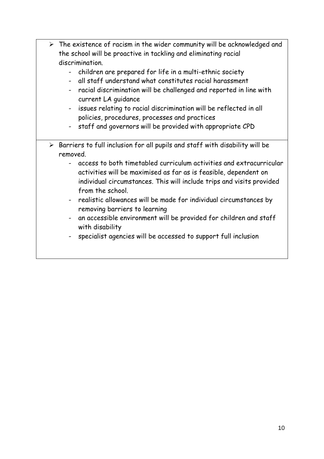| $\triangleright$ The existence of racism in the wider community will be acknowledged and<br>the school will be proactive in tackling and eliminating racial<br>discrimination.<br>children are prepared for life in a multi-ethnic society<br>- all staff understand what constitutes racial harassment<br>racial discrimination will be challenged and reported in line with<br>current LA guidance<br>issues relating to racial discrimination will be reflected in all<br>$\blacksquare$<br>policies, procedures, processes and practices<br>staff and governors will be provided with appropriate CPD<br>$\sim$                  |
|--------------------------------------------------------------------------------------------------------------------------------------------------------------------------------------------------------------------------------------------------------------------------------------------------------------------------------------------------------------------------------------------------------------------------------------------------------------------------------------------------------------------------------------------------------------------------------------------------------------------------------------|
| $\triangleright$ Barriers to full inclusion for all pupils and staff with disability will be<br>removed.<br>access to both timetabled curriculum activities and extracurricular<br>activities will be maximised as far as is feasible, dependent on<br>individual circumstances. This will include trips and visits provided<br>from the school.<br>- realistic allowances will be made for individual circumstances by<br>removing barriers to learning<br>an accessible environment will be provided for children and staff<br>$\blacksquare$<br>with disability<br>specialist agencies will be accessed to support full inclusion |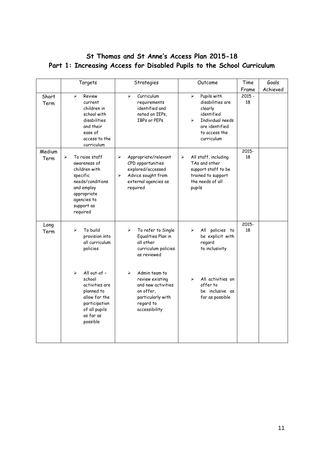#### **St Thomas and St Anne's Access Plan 2015-18 Part 1: Increasing Access for Disabled Pupils to the School Curriculum**

|                | Targets                                                                                                                                                                                                                      | Strategies                                                                                                                                                                                                                                          | Outcome                                                                                                                                                                         | Time           | Goals    |
|----------------|------------------------------------------------------------------------------------------------------------------------------------------------------------------------------------------------------------------------------|-----------------------------------------------------------------------------------------------------------------------------------------------------------------------------------------------------------------------------------------------------|---------------------------------------------------------------------------------------------------------------------------------------------------------------------------------|----------------|----------|
|                |                                                                                                                                                                                                                              |                                                                                                                                                                                                                                                     |                                                                                                                                                                                 | Frame          | Achieved |
| Short<br>Term  | $\blacktriangleright$<br>Review<br>current<br>children in<br>school with<br>disabilities<br>and their<br>ease of<br>access to the<br>curriculum                                                                              | Curriculum<br>$\blacktriangleright$<br>requirements<br>identified and<br>noted on IEPs,<br>IBPs or PEPs                                                                                                                                             | Pupils with<br>$\blacktriangleright$<br>disabilities are<br>clearly<br>identified<br>Individual needs<br>$\blacktriangleright$<br>are identified<br>to access the<br>curriculum | $2015 -$<br>18 |          |
| Medium<br>Term | To raise staff<br>➤<br>awareness of<br>children with<br>specific<br>needs/conditions<br>and employ<br>appropriate<br>agencies to<br>support as<br>required                                                                   | Appropriate/relevant<br>➤<br>CPD opportunities<br>explored/accessed<br>Advice sought from<br>⋗<br>external agencies as<br>required                                                                                                                  | ⋗<br>All staff, including<br>TAs and other<br>support staff to be<br>trained to support<br>the needs of all<br>pupils                                                           | 2015-<br>18    |          |
| Long<br>Term   | To build<br>➤<br>provision into<br>all curriculum<br>policies<br>All out-of -<br>$\blacktriangleright$<br>school<br>activities are<br>planned to<br>allow for the<br>participation<br>of all pupils<br>as far as<br>possible | To refer to Single<br>➤<br>Equalities Plan in<br>all other<br>curriculum policies<br>as reviewed<br>$\blacktriangleright$<br>Admin team to<br>review existing<br>and new activities<br>on offer,<br>particularly with<br>regard to<br>accessibility | All policies to<br>➤<br>be explicit with<br>regard<br>to inclusivity<br>All activities on<br>$\blacktriangleright$<br>offer to<br>be inclusive as<br>far as possible            | 2015-<br>18    |          |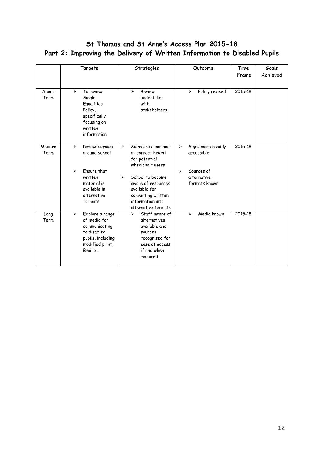#### **St Thomas and St Anne's Access Plan 2015-18 Part 2: Improving the Delivery of Written Information to Disabled Pupils**

|                | Targets                                                                                                                                     |                       | Strategies                                                                                                                                         | Outcome                                                             | Time<br>Frame | Goals<br>Achieved |
|----------------|---------------------------------------------------------------------------------------------------------------------------------------------|-----------------------|----------------------------------------------------------------------------------------------------------------------------------------------------|---------------------------------------------------------------------|---------------|-------------------|
| Short<br>Term  | To review<br>$\blacktriangleright$<br>Single<br>Equalities<br>Policy,<br>specifically<br>focusing on<br>written<br>information              |                       | Review<br>$\blacktriangleright$<br>undertaken<br>with<br>stakeholders                                                                              | $\blacktriangleright$<br>Policy revised                             | 2015-18       |                   |
| Medium<br>Term | Review signage<br>$\blacktriangleright$<br>around school                                                                                    | $\blacktriangleright$ | Signs are clear and<br>at correct height<br>for potential<br>wheelchair users                                                                      | Signs more readily<br>➤<br>accessible                               | 2015-18       |                   |
|                | Fnsure that<br>↘<br>written<br>material is<br>available in<br>alternative<br>formats                                                        | $\blacktriangleright$ | School to become<br>aware of resources<br>available for<br>converting written<br>information into<br>alternative formats                           | Sources of<br>$\blacktriangleright$<br>alternative<br>formats known |               |                   |
| Long<br>Term   | Explore a range<br>$\blacktriangleright$<br>of media for<br>communicating<br>to disabled<br>pupils, including<br>modified print,<br>Braille |                       | Staff aware of<br>$\blacktriangleright$<br>alternatives<br>available and<br>sources<br>recognised for<br>ease of access<br>if and when<br>required | Media known<br>➤                                                    | 2015-18       |                   |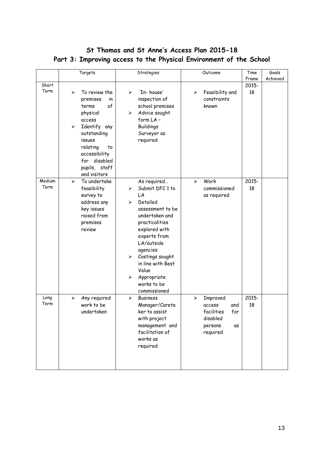|                | Targets                                                                                                                                                                                                     | Strategies                                                                                                                                                                                                                                                                             | Outcome                                                                                      | Time        | Goals    |
|----------------|-------------------------------------------------------------------------------------------------------------------------------------------------------------------------------------------------------------|----------------------------------------------------------------------------------------------------------------------------------------------------------------------------------------------------------------------------------------------------------------------------------------|----------------------------------------------------------------------------------------------|-------------|----------|
|                |                                                                                                                                                                                                             |                                                                                                                                                                                                                                                                                        |                                                                                              | Frame       | Achieved |
| Short          |                                                                                                                                                                                                             |                                                                                                                                                                                                                                                                                        |                                                                                              | 2015-       |          |
| Term           | To review the<br>⋗<br>premises<br>in<br>of<br>terms<br>physical<br>access<br>Identify any<br>➤<br>outstanding<br>issues<br>relating<br>to<br>accessibility<br>for disabled<br>pupils, staff<br>and visitors | 'In-house'<br>➤<br>inspection of<br>school premises<br>Advice sought<br>➤<br>form LA-<br><b>Buildings</b><br>Surveyor as<br>required                                                                                                                                                   | Feasibility and<br>➤<br>constraints<br>known                                                 | 18          |          |
| Medium<br>Term | To undertake<br>⋗<br>feasibility<br>survey to<br>address any<br>key issues<br>raised from<br>premises<br>review                                                                                             | As required<br>Submit DFC 1 to<br>⋗<br>LA<br>Detailed<br>➤<br>assessment to be<br>undertaken and<br>practicalities<br>explored with<br>experts from<br>LA/outside<br>agencies<br>Costings sought<br>➤<br>in line with Best<br>Value<br>Appropriate<br>➤<br>works to be<br>commissioned | Work<br>↘<br>commissioned<br>as required                                                     | 2015-<br>18 |          |
| Long<br>Term   | ➤<br>Any required<br>work to be<br>undertaken                                                                                                                                                               | ➤<br><b>Business</b><br>Manager/Careta<br>ker to assist<br>with project<br>management and<br>facilitation of<br>works as<br>required                                                                                                                                                   | ➤<br>Improved<br>access<br>and<br>facilities<br>for<br>disabled<br>persons<br>as<br>required | 2015-<br>18 |          |

#### **St Thomas and St Anne's Access Plan 2015-18 Part 3: Improving access to the Physical Environment of the School**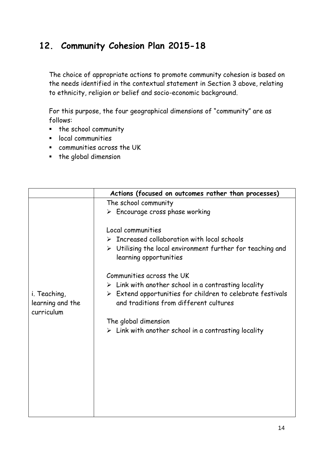### **12. Community Cohesion Plan 2015-18**

The choice of appropriate actions to promote community cohesion is based on the needs identified in the contextual statement in Section 3 above, relating to ethnicity, religion or belief and socio-economic background.

For this purpose, the four geographical dimensions of "community" are as follows:

- the school community
- **E** local communities
- communities across the UK
- the global dimension

|                                                | Actions (focused on outcomes rather than processes)                                                                                                                                                                                                                                                                                                                                                                                                                                                               |
|------------------------------------------------|-------------------------------------------------------------------------------------------------------------------------------------------------------------------------------------------------------------------------------------------------------------------------------------------------------------------------------------------------------------------------------------------------------------------------------------------------------------------------------------------------------------------|
|                                                | The school community                                                                                                                                                                                                                                                                                                                                                                                                                                                                                              |
|                                                | $\triangleright$ Encourage cross phase working                                                                                                                                                                                                                                                                                                                                                                                                                                                                    |
| i. Teaching,<br>learning and the<br>curriculum | Local communities<br>$\triangleright$ Increased collaboration with local schools<br>$\triangleright$ Utilising the local environment further for teaching and<br>learning opportunities<br>Communities across the UK<br>$\triangleright$ Link with another school in a contrasting locality<br>$\triangleright$ Extend opportunities for children to celebrate festivals<br>and traditions from different cultures<br>The global dimension<br>$\triangleright$ Link with another school in a contrasting locality |
|                                                |                                                                                                                                                                                                                                                                                                                                                                                                                                                                                                                   |